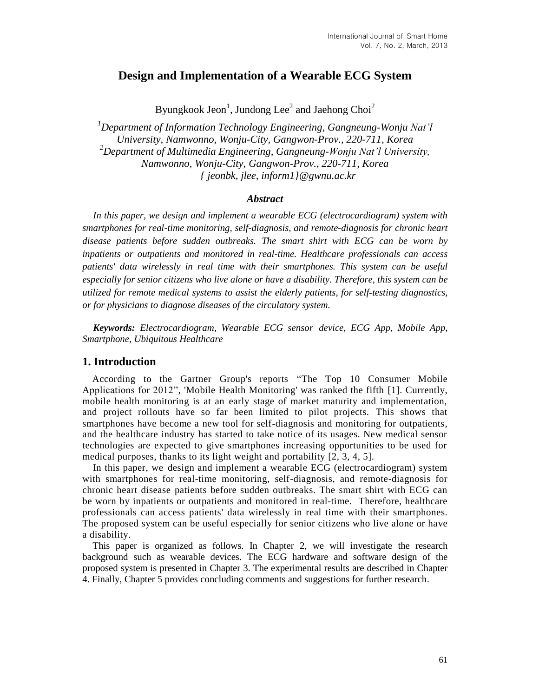# **Design and Implementation of a Wearable ECG System**

Byungkook Jeon $^1$ , Jundong Lee $^2$  and Jaehong Choi $^2$ 

*<sup>1</sup>Department of Information Technology Engineering, Gangneung-Wonju Nat'l University, Namwonno, Wonju-City, Gangwon-Prov., 220-711, Korea <sup>2</sup>Department of Multimedia Engineering, Gangneung-Wonju Nat'l University, Namwonno, Wonju-City, Gangwon-Prov., 220-711, Korea { jeonbk, jlee, inform1}@gwnu.ac.kr*

### *Abstract*

*In this paper, we design and implement a wearable ECG (electrocardiogram) system with smartphones for real-time monitoring, self-diagnosis, and remote-diagnosis for chronic heart disease patients before sudden outbreaks. The smart shirt with ECG can be worn by inpatients or outpatients and monitored in real-time. Healthcare professionals can access patients' data wirelessly in real time with their smartphones. This system can be useful especially for senior citizens who live alone or have a disability. Therefore, this system can be utilized for remote medical systems to assist the elderly patients, for self-testing diagnostics, or for physicians to diagnose diseases of the circulatory system.*

*Keywords: Electrocardiogram, Wearable ECG sensor device, ECG App, Mobile App, Smartphone, Ubiquitous Healthcare*

#### **1. Introduction**

According to the Gartner Group's reports "The Top 10 Consumer Mobile Applications for 2012", 'Mobile Health Monitoring' was ranked the fifth [1]. Currently, mobile health monitoring is at an early stage of market maturity and implementation, and project rollouts have so far been limited to pilot projects. This shows that smartphones have become a new tool for self-diagnosis and monitoring for outpatients, and the healthcare industry has started to take notice of its usages. New medical sensor technologies are expected to give smartphones increasing opportunities to be used for medical purposes, thanks to its light weight and portability [2, 3, 4, 5].

In this paper, we design and implement a wearable ECG (electrocardiogram) system with smartphones for real-time monitoring, self-diagnosis, and remote-diagnosis for chronic heart disease patients before sudden outbreaks. The smart shirt with ECG can be worn by inpatients or outpatients and monitored in real-time. Therefore, healthcare professionals can access patients' data wirelessly in real time with their smartphones. The proposed system can be useful especially for senior citizens who live alone or have a disability.

This paper is organized as follows. In Chapter 2, we will investigate the research background such as wearable devices. The ECG hardware and software design of the proposed system is presented in Chapter 3. The experimental results are described in Chapter 4. Finally, Chapter 5 provides concluding comments and suggestions for further research.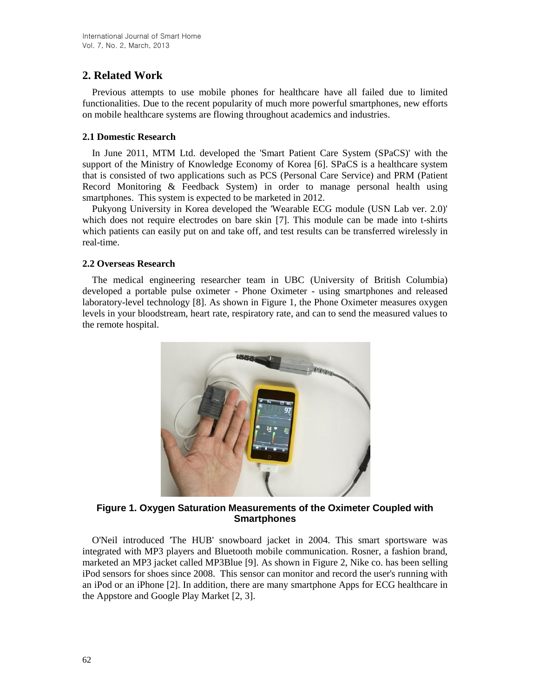# **2. Related Work**

Previous attempts to use mobile phones for healthcare have all failed due to limited functionalities. Due to the recent popularity of much more powerful smartphones, new efforts on mobile healthcare systems are flowing throughout academics and industries.

#### **2.1 Domestic Research**

In June 2011, MTM Ltd. developed the 'Smart Patient Care System (SPaCS)' with the support of the Ministry of Knowledge Economy of Korea [6]. SPaCS is a healthcare system that is consisted of two applications such as PCS (Personal Care Service) and PRM (Patient Record Monitoring & Feedback System) in order to manage personal health using smartphones. This system is expected to be marketed in 2012.

Pukyong University in Korea developed the 'Wearable ECG module (USN Lab ver. 2.0)' which does not require electrodes on bare skin [7]. This module can be made into t-shirts which patients can easily put on and take off, and test results can be transferred wirelessly in real-time.

### **2.2 Overseas Research**

The medical engineering researcher team in UBC (University of British Columbia) developed a portable pulse oximeter - Phone Oximeter - using smartphones and released laboratory-level technology [8]. As shown in Figure 1, the Phone Oximeter measures oxygen levels in your bloodstream, heart rate, respiratory rate, and can to send the measured values to the remote hospital.



### **Figure 1. Oxygen Saturation Measurements of the Oximeter Coupled with Smartphones**

O'Neil introduced 'The HUB' snowboard jacket in 2004. This smart sportsware was integrated with MP3 players and Bluetooth mobile communication. Rosner, a fashion brand, marketed an MP3 jacket called MP3Blue [9]. As shown in Figure 2, Nike co. has been selling iPod sensors for shoes since 2008. This sensor can monitor and record the user's running with an iPod or an iPhone [2]. In addition, there are many smartphone Apps for ECG healthcare in the Appstore and Google Play Market [2, 3].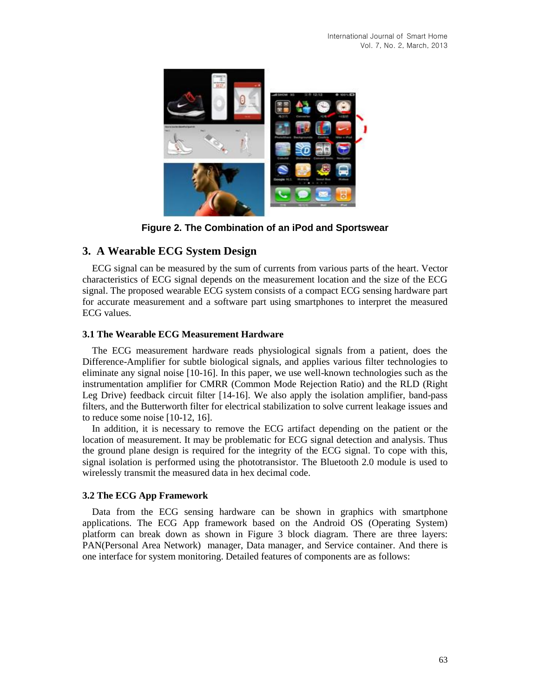

**Figure 2. The Combination of an iPod and Sportswear**

# **3. A Wearable ECG System Design**

ECG signal can be measured by the sum of currents from various parts of the heart. Vector characteristics of ECG signal depends on the measurement location and the size of the ECG signal. The proposed wearable ECG system consists of a compact ECG sensing hardware part for accurate measurement and a software part using smartphones to interpret the measured ECG values.

### **3.1 The Wearable ECG Measurement Hardware**

The ECG measurement hardware reads physiological signals from a patient, does the Difference-Amplifier for subtle biological signals, and applies various filter technologies to eliminate any signal noise [10-16]. In this paper, we use well-known technologies such as the instrumentation amplifier for CMRR (Common Mode Rejection Ratio) and the RLD (Right Leg Drive) feedback circuit filter [14-16]. We also apply the isolation amplifier, band-pass filters, and the Butterworth filter for electrical stabilization to solve current leakage issues and to reduce some noise [10-12, 16].

In addition, it is necessary to remove the ECG artifact depending on the patient or the location of measurement. It may be problematic for ECG signal detection and analysis. Thus the ground plane design is required for the integrity of the ECG signal. To cope with this, signal isolation is performed using the phototransistor. The Bluetooth 2.0 module is used to wirelessly transmit the measured data in hex decimal code.

## **3.2 The ECG App Framework**

Data from the ECG sensing hardware can be shown in graphics with smartphone applications. The ECG App framework based on the Android OS (Operating System) platform can break down as shown in Figure 3 block diagram. There are three layers: PAN(Personal Area Network) manager, Data manager, and Service container. And there is one interface for system monitoring. Detailed features of components are as follows: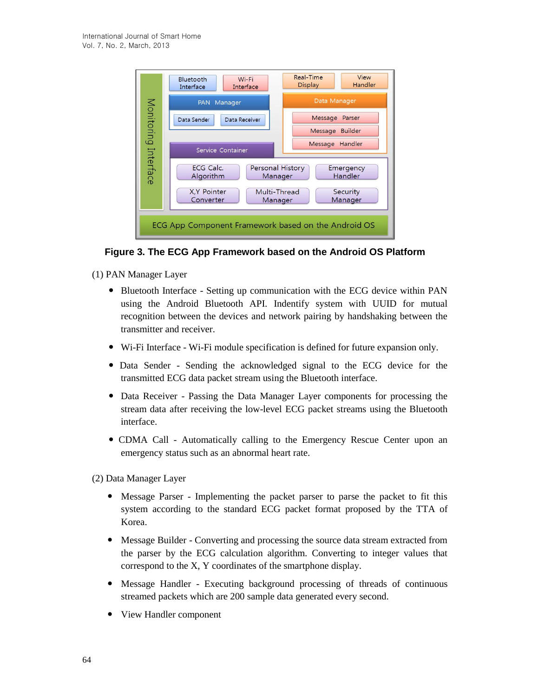

**Figure 3. The ECG App Framework based on the Android OS Platform**

- (1) PAN Manager Layer
	- Bluetooth Interface Setting up communication with the ECG device within PAN using the Android Bluetooth API. Indentify system with UUID for mutual recognition between the devices and network pairing by handshaking between the transmitter and receiver.
	- Wi-Fi Interface Wi-Fi module specification is defined for future expansion only.
	- Data Sender Sending the acknowledged signal to the ECG device for the transmitted ECG data packet stream using the Bluetooth interface.
	- Data Receiver Passing the Data Manager Layer components for processing the stream data after receiving the low-level ECG packet streams using the Bluetooth interface.
	- CDMA Call Automatically calling to the Emergency Rescue Center upon an emergency status such as an abnormal heart rate.
- (2) Data Manager Layer
	- Message Parser Implementing the packet parser to parse the packet to fit this system according to the standard ECG packet format proposed by the TTA of Korea.
	- Message Builder Converting and processing the source data stream extracted from the parser by the ECG calculation algorithm. Converting to integer values that correspond to the X, Y coordinates of the smartphone display.
	- Message Handler Executing background processing of threads of continuous streamed packets which are 200 sample data generated every second.
	- View Handler component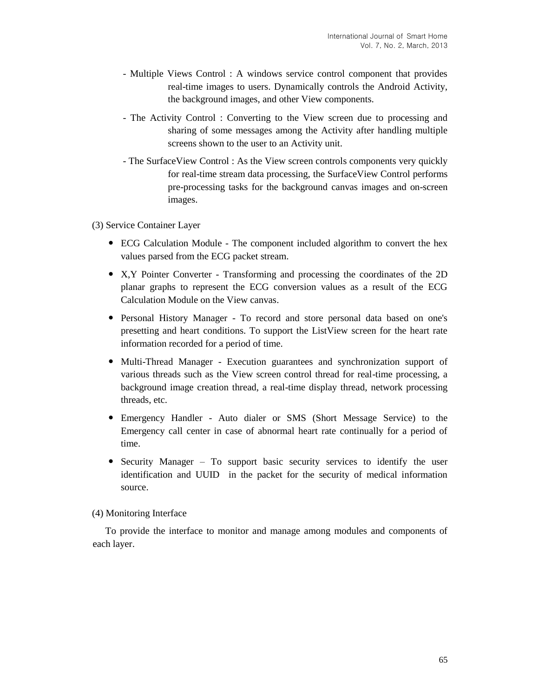- Multiple Views Control : A windows service control component that provides real-time images to users. Dynamically controls the Android Activity, the background images, and other View components.
- The Activity Control : Converting to the View screen due to processing and sharing of some messages among the Activity after handling multiple screens shown to the user to an Activity unit.
- The SurfaceView Control : As the View screen controls components very quickly for real-time stream data processing, the SurfaceView Control performs pre-processing tasks for the background canvas images and on-screen images.

#### (3) Service Container Layer

- ECG Calculation Module The component included algorithm to convert the hex values parsed from the ECG packet stream.
- X,Y Pointer Converter Transforming and processing the coordinates of the 2D planar graphs to represent the ECG conversion values as a result of the ECG Calculation Module on the View canvas.
- Personal History Manager To record and store personal data based on one's presetting and heart conditions. To support the ListView screen for the heart rate information recorded for a period of time.
- Multi-Thread Manager Execution guarantees and synchronization support of various threads such as the View screen control thread for real-time processing, a background image creation thread, a real-time display thread, network processing threads, etc.
- Emergency Handler Auto dialer or SMS (Short Message Service) to the Emergency call center in case of abnormal heart rate continually for a period of time.
- Security Manager To support basic security services to identify the user identification and UUID in the packet for the security of medical information source.

#### (4) Monitoring Interface

To provide the interface to monitor and manage among modules and components of each layer.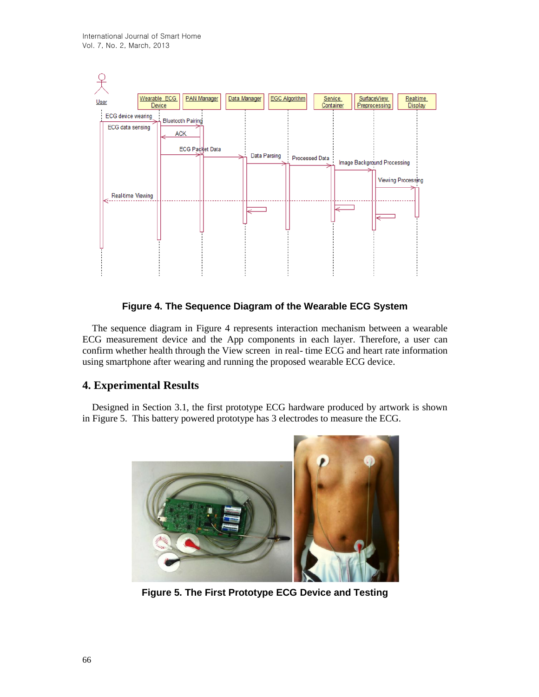

### **Figure 4. The Sequence Diagram of the Wearable ECG System**

The sequence diagram in Figure 4 represents interaction mechanism between a wearable ECG measurement device and the App components in each layer. Therefore, a user can confirm whether health through the View screen in real- time ECG and heart rate information using smartphone after wearing and running the proposed wearable ECG device.

## **4. Experimental Results**

Designed in Section 3.1, the first prototype ECG hardware produced by artwork is shown in Figure 5. This battery powered prototype has 3 electrodes to measure the ECG.



**Figure 5. The First Prototype ECG Device and Testing**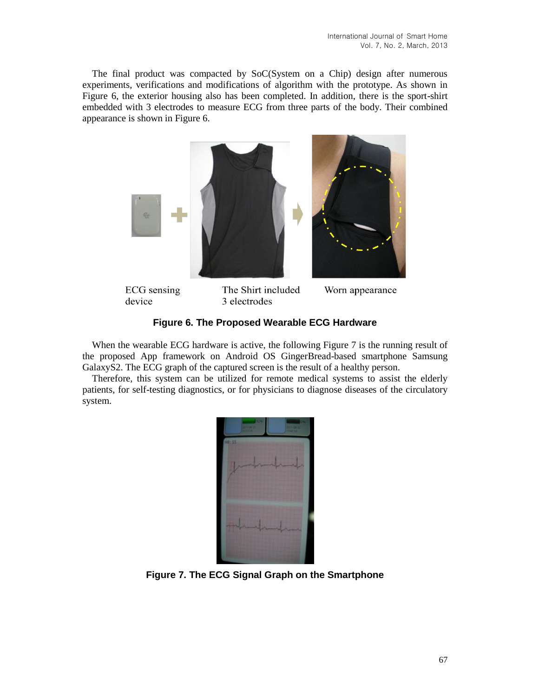The final product was compacted by SoC(System on a Chip) design after numerous experiments, verifications and modifications of algorithm with the prototype. As shown in Figure 6, the exterior housing also has been completed. In addition, there is the sport-shirt embedded with 3 electrodes to measure ECG from three parts of the body. Their combined appearance is shown in Figure 6.





**ECG** sensing device

The Shirt included 3 electrodes

Worn appearance

## **Figure 6. The Proposed Wearable ECG Hardware**

When the wearable ECG hardware is active, the following Figure 7 is the running result of the proposed App framework on Android OS GingerBread-based smartphone Samsung GalaxyS2. The ECG graph of the captured screen is the result of a healthy person.

Therefore, this system can be utilized for remote medical systems to assist the elderly patients, for self-testing diagnostics, or for physicians to diagnose diseases of the circulatory system.



**Figure 7. The ECG Signal Graph on the Smartphone**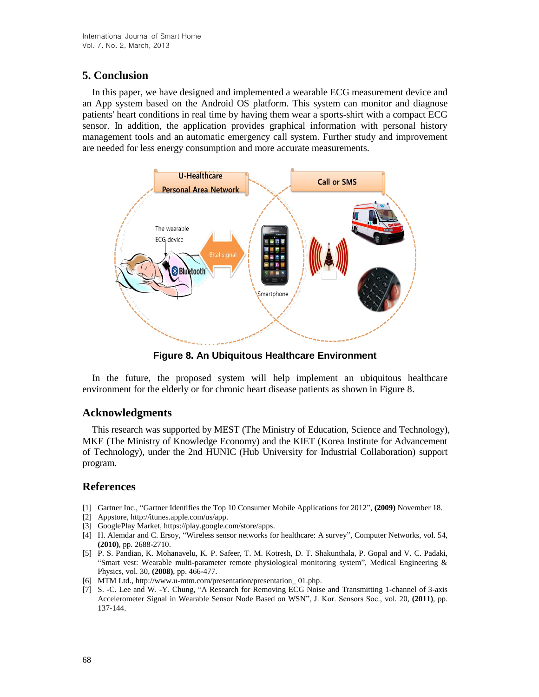# **5. Conclusion**

In this paper, we have designed and implemented a wearable ECG measurement device and an App system based on the Android OS platform. This system can monitor and diagnose patients' heart conditions in real time by having them wear a sports-shirt with a compact ECG sensor. In addition, the application provides graphical information with personal history management tools and an automatic emergency call system. Further study and improvement are needed for less energy consumption and more accurate measurements.



**Figure 8. An Ubiquitous Healthcare Environment**

In the future, the proposed system will help implement an ubiquitous healthcare environment for the elderly or for chronic heart disease patients as shown in Figure 8.

# **Acknowledgments**

This research was supported by MEST (The Ministry of Education, Science and Technology), MKE (The Ministry of Knowledge Economy) and the KIET (Korea Institute for Advancement of Technology), under the 2nd HUNIC (Hub University for Industrial Collaboration) support program.

## **References**

- [1] Gartner Inc., "Gartner Identifies the Top 10 Consumer Mobile Applications for 2012", **(2009)** November 18.
- [2] Appstore, http://itunes.apple.com/us/app.
- [3] GooglePlay Market, https://play.google.com/store/apps.
- [4] H. Alemdar and C. Ersoy, "Wireless sensor networks for healthcare: A survey", Computer Networks, vol. 54, **(2010)**, pp. 2688-2710.
- [5] P. S. Pandian, K. Mohanavelu, K. P. Safeer, T. M. Kotresh, D. T. Shakunthala, P. Gopal and V. C. Padaki, "Smart vest: Wearable multi-parameter remote physiological monitoring system", Medical Engineering & Physics, vol. 30, **(2008)**, pp. 466-477.
- [6] MTM Ltd., http://www.u-mtm.com/presentation/presentation\_ 01.php.
- [7] S. -C. Lee and W. -Y. Chung, "A Research for Removing ECG Noise and Transmitting 1-channel of 3-axis Accelerometer Signal in Wearable Sensor Node Based on WSN", J. Kor. Sensors Soc., vol. 20, **(2011)**, pp. 137-144.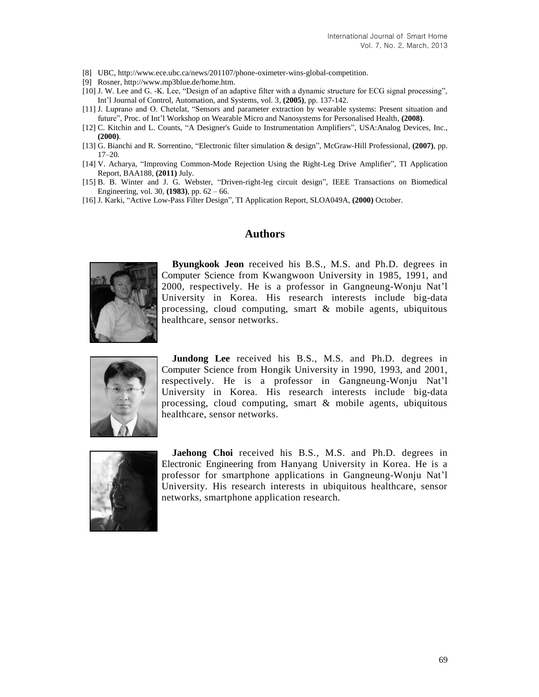- [8] UBC, http://www.ece.ubc.ca/news/201107/phone-oximeter-wins-global-competition.
- [9] Rosner, http://www.mp3blue.de/home.htm.
- [10] J. W. Lee and G. -K. Lee, "Design of an adaptive filter with a dynamic structure for ECG signal processing", Int'l Journal of Control, Automation, and Systems, vol. 3, **(2005)**, pp. 137-142.
- [11] J. Luprano and O. Chetelat, "Sensors and parameter extraction by wearable systems: Present situation and future", Proc. of Int'l Workshop on Wearable Micro and Nanosystems for Personalised Health, **(2008)**.
- [12] C. Kitchin and L. Counts, "A Designer's Guide to Instrumentation Amplifiers", USA:Analog Devices, Inc., **(2000)**.
- [13] G. Bianchi and R. Sorrentino, "Electronic filter simulation & design", McGraw-Hill Professional, **(2007)**, pp. 17–20.
- [14] V. Acharya, "Improving Common-Mode Rejection Using the Right-Leg Drive Amplifier", TI Application Report, BAA188, **(2011)** July.
- [15] B. B. Winter and J. G. Webster, "Driven-right-leg circuit design", IEEE Transactions on Biomedical Engineering, vol. 30, **(1983)**, pp. 62 – 66.
- [16] J. Karki, "Active Low-Pass Filter Design", TI Application Report, SLOA049A, **(2000)** October.

## **Authors**



**Byungkook Jeon** received his B.S., M.S. and Ph.D. degrees in Computer Science from Kwangwoon University in 1985, 1991, and 2000, respectively. He is a professor in Gangneung-Wonju Nat'l University in Korea. His research interests include big-data processing, cloud computing, smart & mobile agents, ubiquitous healthcare, sensor networks.



**Jundong Lee** received his B.S., M.S. and Ph.D. degrees in Computer Science from Hongik University in 1990, 1993, and 2001, respectively. He is a professor in Gangneung-Wonju Nat'l University in Korea. His research interests include big-data processing, cloud computing, smart & mobile agents, ubiquitous healthcare, sensor networks.



**Jaehong Choi** received his B.S., M.S. and Ph.D. degrees in Electronic Engineering from Hanyang University in Korea. He is a professor for smartphone applications in Gangneung-Wonju Nat'l University. His research interests in ubiquitous healthcare, sensor networks, smartphone application research.